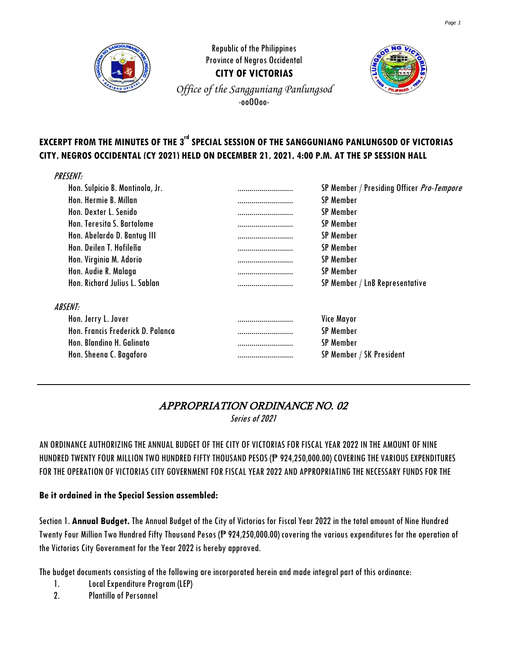

**Republic of the Philippines** Province of Negros Occidental **CITY OF VICTORIAS** *Of ice of the Sangguniang Panlungsod* -ooOOoo-



# **EXCERPT FROM THE MINUTES OF THE 3 rd SPECIAL SESSION OF THE SANGGUNIANG PANLUNGSOD OF VICTORIAS CITY, NEGROS OCCIDENTAL (CY 2021) HELD ON DECEMBER 21, 2021, 4:00 P.M. AT THE SP SESSION HALL**

| <i><b>PRESENT:</b></i>            |                                               |
|-----------------------------------|-----------------------------------------------|
| Hon. Sulpicio B. Montinola, Jr.   | <br>SP Member / Presiding Officer Pro-Tempore |
| Hon. Hermie B. Millan             | <br>SP Member                                 |
| Hon. Dexter L. Senido             | <br>SP Member                                 |
| Hon. Teresita S. Bartolome        | <br>SP Member                                 |
| Hon. Abelardo D. Bantug III       | <br>SP Member                                 |
| Hon. Deilen T. Hofileña           | <br><b>SP Member</b>                          |
| Hon. Virginia M. Adorio           | <br>SP Member                                 |
| Hon. Audie R. Malaga              | <br><b>SP Member</b>                          |
| Hon, Richard Julius L. Sablan     | <br>SP Member / LnB Representative            |
| <i><b>ABSENT:</b></i>             |                                               |
| Hon. Jerry L. Jover               | <br><b>Vice Mayor</b>                         |
| Hon. Francis Frederick D. Palanca | <br>SP Member                                 |
| Hon. Blandino H. Galinato         | <br><b>SP Member</b>                          |
| Hon. Sheena C. Bagaforo           | <br>SP Member / SK President                  |
|                                   |                                               |

## APPROPRIATION ORDINANCE NO. 02

Series of 2021

AN ORDINANCE AUTHORIZING THE ANNUAL BUDGET OF THE CITY OF VICTORIAS FOR FISCAL YEAR 2022 IN THE AMOUNT OF NINE HUNDRED TWENTY FOUR MILLION TWO HUNDRED FIFTY THOUSAND PESOS (P 924,250,000.00) COVERING THE VARIOUS EXPENDITURES FOR THE OPERATION OF VICTORIAS CITY GOVERNMENT FOR FISCAL YEAR 2022 AND APPROPRIATING THE NECESSARY FUNDS FOR THE

#### **Be it ordained in the Special Session assembled:**

Section 1. **Annual Budget.** The Annual Budget of the City of Victorias for Fiscal Year 2022 in the total amount of Nine Hundred Twenty Four Million Two Hundred Fifty Thousand Pesos (₱ 924,250,000.00) covering the various expenditures for the operation of the Victorias City Government for the Year 2022 is hereby approved.

The budget documents consisting of the following are incorporated herein and made integral part of this ordinance:

1. Local Expenditure Program (LEP)

2. Plantilla of Personnel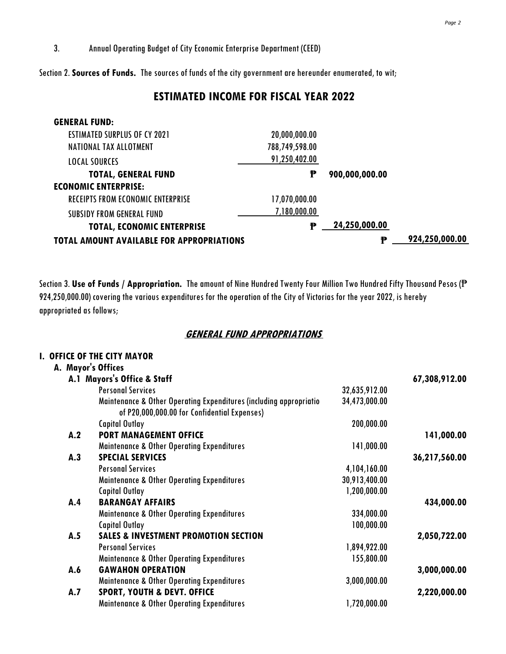**I. OFFICE OF THE CITY MAYOR**

Section 2.**Sources of Funds.** The sources of funds of the city government are hereunder enumerated, to wit;

### **ESTIMATED INCOME FOR FISCAL YEAR 2022**

| <b>GENERAL FUND:</b>                             |                |                |                |  |
|--------------------------------------------------|----------------|----------------|----------------|--|
| <b>ESTIMATED SURPLUS OF CY 2021</b>              | 20,000,000.00  |                |                |  |
| NATIONAL TAX ALLOTMENT                           | 788,749,598.00 |                |                |  |
| <b>LOCAL SOURCES</b>                             | 91,250,402.00  |                |                |  |
| <b>TOTAL, GENERAL FUND</b>                       | ₱              | 900,000,000.00 |                |  |
| <b>ECONOMIC ENTERPRISE:</b>                      |                |                |                |  |
| <b>RECEIPTS FROM ECONOMIC ENTERPRISE</b>         | 17,070,000.00  |                |                |  |
| SUBSIDY FROM GENERAL FUND                        | 7,180,000.00   |                |                |  |
| <b>TOTAL, ECONOMIC ENTERPRISE</b>                | Ð              | 24,250,000.00  |                |  |
| <b>TOTAL AMOUNT AVAILABLE FOR APPROPRIATIONS</b> |                | Ð              | 924,250,000.00 |  |

Section 3. **Use of Funds / Appropriation.** The amount of Nine Hundred Twenty Four Million Two Hundred Fifty Thousand Pesos (₱ 924,250,000.00) covering the various expenditures for the operation of the City of Victorias for the year 2022, is hereby appropriated as follows;

#### **GENERAL FUND APPROPRIATIONS**

|     | I. UFFILE UF INE LII I MATUR                                                                                       |               |               |
|-----|--------------------------------------------------------------------------------------------------------------------|---------------|---------------|
|     | A. Mayor's Offices                                                                                                 |               |               |
|     | A.1 Mayors's Office & Staff                                                                                        |               | 67,308,912.00 |
|     | <b>Personal Services</b>                                                                                           | 32,635,912.00 |               |
|     | Maintenance & Other Operating Expenditures (including appropriatio<br>of P20,000,000.00 for Confidential Expenses) | 34,473,000.00 |               |
|     | <b>Capital Outlay</b>                                                                                              | 200,000.00    |               |
| A.2 | <b>PORT MANAGEMENT OFFICE</b>                                                                                      |               | 141,000.00    |
|     | <b>Maintenance &amp; Other Operating Expenditures</b>                                                              | 141,000.00    |               |
| A.3 | <b>SPECIAL SERVICES</b>                                                                                            |               | 36,217,560.00 |
|     | <b>Personal Services</b>                                                                                           | 4,104,160.00  |               |
|     | <b>Maintenance &amp; Other Operating Expenditures</b>                                                              | 30,913,400.00 |               |
|     | <b>Capital Outlay</b>                                                                                              | 1,200,000.00  |               |
| A.4 | <b>BARANGAY AFFAIRS</b>                                                                                            |               | 434,000.00    |
|     | <b>Maintenance &amp; Other Operating Expenditures</b>                                                              | 334,000.00    |               |
|     | <b>Capital Outlay</b>                                                                                              | 100,000.00    |               |
| A.5 | <b>SALES &amp; INVESTMENT PROMOTION SECTION</b>                                                                    |               | 2,050,722.00  |
|     | <b>Personal Services</b>                                                                                           | 1,894,922.00  |               |
|     | <b>Maintenance &amp; Other Operating Expenditures</b>                                                              | 155,800.00    |               |
| A.6 | <b>GAWAHON OPERATION</b>                                                                                           |               | 3,000,000.00  |
|     | <b>Maintenance &amp; Other Operating Expenditures</b>                                                              | 3,000,000.00  |               |
| A.7 | <b>SPORT, YOUTH &amp; DEVT. OFFICE</b>                                                                             |               | 2,220,000.00  |
|     | <b>Maintenance &amp; Other Operating Expenditures</b>                                                              | 1,720,000.00  |               |
|     |                                                                                                                    |               |               |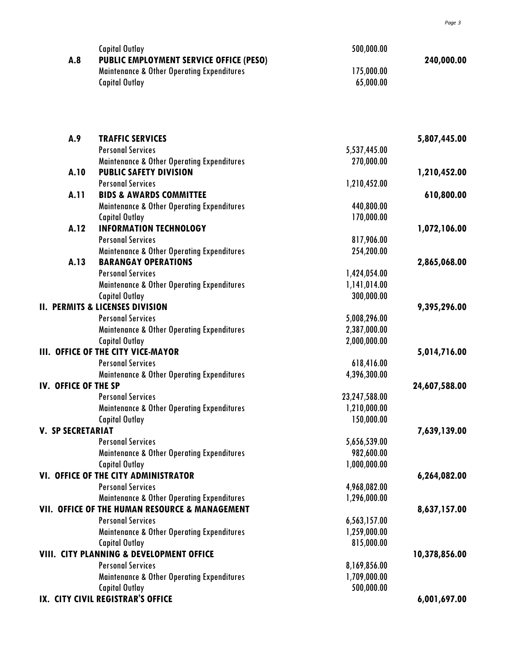|                          | <b>Capital Outlay</b>                                                                            | 500,000.00    |               |
|--------------------------|--------------------------------------------------------------------------------------------------|---------------|---------------|
| A.8                      | PUBLIC EMPLOYMENT SERVICE OFFICE (PESO)<br><b>Maintenance &amp; Other Operating Expenditures</b> | 175,000.00    | 240,000.00    |
|                          | <b>Capital Outlay</b>                                                                            | 65,000.00     |               |
|                          |                                                                                                  |               |               |
| A.9                      | <b>TRAFFIC SERVICES</b>                                                                          |               | 5,807,445.00  |
|                          | <b>Personal Services</b>                                                                         | 5,537,445.00  |               |
|                          | <b>Maintenance &amp; Other Operating Expenditures</b><br><b>PUBLIC SAFETY DIVISION</b>           | 270,000.00    |               |
| A.10                     |                                                                                                  |               | 1,210,452.00  |
|                          | <b>Personal Services</b>                                                                         | 1,210,452.00  |               |
| A.11                     | <b>BIDS &amp; AWARDS COMMITTEE</b>                                                               | 440,800.00    | 610,800.00    |
|                          | <b>Maintenance &amp; Other Operating Expenditures</b><br><b>Capital Outlay</b>                   | 170,000.00    |               |
| A.12                     | <b>INFORMATION TECHNOLOGY</b>                                                                    |               | 1,072,106.00  |
|                          | <b>Personal Services</b>                                                                         | 817,906.00    |               |
|                          | <b>Maintenance &amp; Other Operating Expenditures</b>                                            | 254,200.00    |               |
| A.13                     | <b>BARANGAY OPERATIONS</b>                                                                       |               | 2,865,068.00  |
|                          | <b>Personal Services</b>                                                                         | 1,424,054.00  |               |
|                          | <b>Maintenance &amp; Other Operating Expenditures</b>                                            | 1,141,014.00  |               |
|                          | <b>Capital Outlay</b>                                                                            | 300,000.00    |               |
|                          | <b>II. PERMITS &amp; LICENSES DIVISION</b>                                                       |               | 9,395,296.00  |
|                          | <b>Personal Services</b>                                                                         | 5,008,296.00  |               |
|                          | <b>Maintenance &amp; Other Operating Expenditures</b>                                            | 2,387,000.00  |               |
|                          | <b>Capital Outlay</b>                                                                            | 2,000,000.00  |               |
|                          | III. OFFICE OF THE CITY VICE-MAYOR                                                               |               | 5,014,716.00  |
|                          | <b>Personal Services</b>                                                                         | 618,416.00    |               |
|                          | <b>Maintenance &amp; Other Operating Expenditures</b>                                            | 4,396,300.00  |               |
| IV. OFFICE OF THE SP     |                                                                                                  |               | 24,607,588.00 |
|                          | <b>Personal Services</b>                                                                         | 23,247,588.00 |               |
|                          | <b>Maintenance &amp; Other Operating Expenditures</b>                                            | 1,210,000.00  |               |
|                          | <b>Capital Outlay</b>                                                                            | 150,000.00    |               |
| <b>V. SP SECRETARIAT</b> |                                                                                                  |               | 7,639,139.00  |
|                          | <b>Personal Services</b>                                                                         | 5,656,539.00  |               |
|                          | <b>Maintenance &amp; Other Operating Expenditures</b>                                            | 982,600.00    |               |
|                          | <b>Capital Outlay</b>                                                                            | 1,000,000.00  |               |
|                          | VI. OFFICE OF THE CITY ADMINISTRATOR                                                             |               | 6,264,082.00  |
|                          | <b>Personal Services</b>                                                                         | 4,968,082.00  |               |
|                          | <b>Maintenance &amp; Other Operating Expenditures</b>                                            | 1,296,000.00  |               |
|                          | VII. OFFICE OF THE HUMAN RESOURCE & MANAGEMENT                                                   |               | 8,637,157.00  |
|                          | <b>Personal Services</b>                                                                         | 6,563,157.00  |               |
|                          | <b>Maintenance &amp; Other Operating Expenditures</b>                                            | 1,259,000.00  |               |
|                          | <b>Capital Outlay</b>                                                                            | 815,000.00    |               |
|                          | VIII. CITY PLANNING & DEVELOPMENT OFFICE                                                         |               | 10,378,856.00 |
|                          | <b>Personal Services</b>                                                                         | 8,169,856.00  |               |
|                          | <b>Maintenance &amp; Other Operating Expenditures</b>                                            | 1,709,000.00  |               |
|                          | <b>Capital Outlay</b>                                                                            | 500,000.00    |               |
|                          | IX. CITY CIVIL REGISTRAR'S OFFICE                                                                |               | 6,001,697.00  |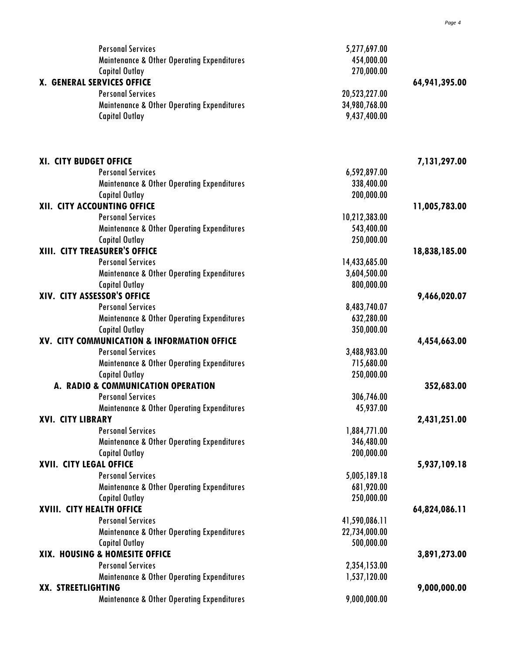| <b>Personal Services</b>                              | 5,277,697.00  |               |
|-------------------------------------------------------|---------------|---------------|
| <b>Maintenance &amp; Other Operating Expenditures</b> | 454,000.00    |               |
| <b>Capital Outlay</b>                                 | 270,000.00    |               |
| X. GENERAL SERVICES OFFICE                            |               | 64,941,395.00 |
| <b>Personal Services</b>                              | 20,523,227.00 |               |
| <b>Maintenance &amp; Other Operating Expenditures</b> | 34,980,768.00 |               |
| <b>Capital Outlay</b>                                 | 9,437,400.00  |               |
|                                                       |               |               |
| XI. CITY BUDGET OFFICE                                |               | 7,131,297.00  |
| <b>Personal Services</b>                              | 6,592,897.00  |               |
| <b>Maintenance &amp; Other Operating Expenditures</b> | 338,400.00    |               |
| <b>Capital Outlay</b>                                 | 200,000.00    |               |
| XII. CITY ACCOUNTING OFFICE                           |               | 11,005,783.00 |
| <b>Personal Services</b>                              | 10,212,383.00 |               |
| <b>Maintenance &amp; Other Operating Expenditures</b> | 543,400.00    |               |
| <b>Capital Outlay</b>                                 | 250,000.00    |               |
| XIII. CITY TREASURER'S OFFICE                         |               | 18,838,185.00 |
| <b>Personal Services</b>                              | 14,433,685.00 |               |
| <b>Maintenance &amp; Other Operating Expenditures</b> | 3,604,500.00  |               |
| <b>Capital Outlay</b>                                 | 800,000.00    |               |
| XIV. CITY ASSESSOR'S OFFICE                           |               | 9,466,020.07  |
| <b>Personal Services</b>                              | 8,483,740.07  |               |
| <b>Maintenance &amp; Other Operating Expenditures</b> | 632,280.00    |               |
| <b>Capital Outlay</b>                                 | 350,000.00    |               |
| XV. CITY COMMUNICATION & INFORMATION OFFICE           |               | 4,454,663.00  |
| <b>Personal Services</b>                              | 3,488,983.00  |               |
| <b>Maintenance &amp; Other Operating Expenditures</b> | 715,680.00    |               |
| <b>Capital Outlay</b>                                 | 250,000.00    |               |
| A. RADIO & COMMUNICATION OPERATION                    |               | 352,683.00    |
| <b>Personal Services</b>                              | 306,746.00    |               |
| <b>Maintenance &amp; Other Operating Expenditures</b> | 45,937.00     |               |
| <b>XVI. CITY LIBRARY</b>                              |               | 2,431,251.00  |
| <b>Personal Services</b>                              | 1,884,771.00  |               |
| <b>Maintenance &amp; Other Operating Expenditures</b> | 346,480.00    |               |
| <b>Capital Outlay</b>                                 | 200,000.00    |               |
| XVII. CITY LEGAL OFFICE                               |               | 5,937,109.18  |
| <b>Personal Services</b>                              | 5,005,189.18  |               |
| <b>Maintenance &amp; Other Operating Expenditures</b> | 681,920.00    |               |
| <b>Capital Outlay</b>                                 | 250,000.00    |               |
| XVIII. CITY HEALTH OFFICE                             |               | 64,824,086.11 |
| <b>Personal Services</b>                              | 41,590,086.11 |               |
| <b>Maintenance &amp; Other Operating Expenditures</b> | 22,734,000.00 |               |
| <b>Capital Outlay</b>                                 | 500,000.00    |               |
| XIX. HOUSING & HOMESITE OFFICE                        |               | 3,891,273.00  |
| <b>Personal Services</b>                              | 2,354,153.00  |               |
| <b>Maintenance &amp; Other Operating Expenditures</b> | 1,537,120.00  |               |
| XX. STREETLIGHTING                                    |               | 9,000,000.00  |
| <b>Maintenance &amp; Other Operating Expenditures</b> | 9,000,000.00  |               |
|                                                       |               |               |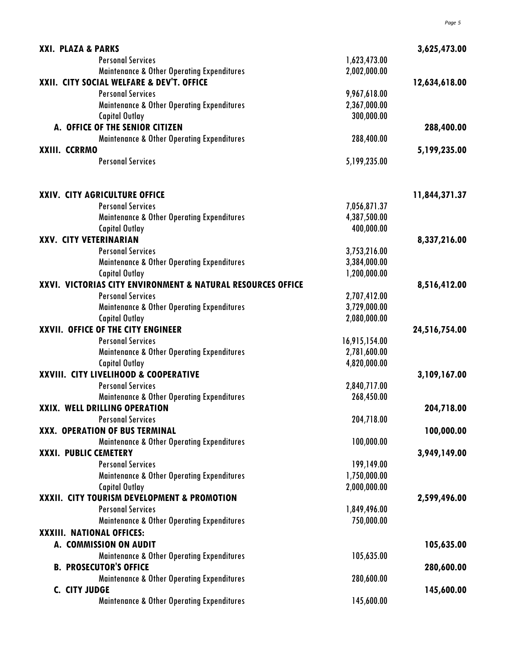| XXI. PLAZA & PARKS                                          |               | 3,625,473.00  |
|-------------------------------------------------------------|---------------|---------------|
| <b>Personal Services</b>                                    | 1,623,473.00  |               |
| <b>Maintenance &amp; Other Operating Expenditures</b>       | 2,002,000.00  |               |
| XXII. CITY SOCIAL WELFARE & DEV'T. OFFICE                   |               | 12,634,618.00 |
| <b>Personal Services</b>                                    | 9,967,618.00  |               |
| <b>Maintenance &amp; Other Operating Expenditures</b>       | 2,367,000.00  |               |
| <b>Capital Outlay</b>                                       | 300,000.00    |               |
| A. OFFICE OF THE SENIOR CITIZEN                             |               | 288,400.00    |
| <b>Maintenance &amp; Other Operating Expenditures</b>       | 288,400.00    |               |
| XXIII. CCRRMO                                               |               | 5,199,235.00  |
| <b>Personal Services</b>                                    | 5,199,235.00  |               |
|                                                             |               |               |
| XXIV. CITY AGRICULTURE OFFICE                               |               | 11,844,371.37 |
| <b>Personal Services</b>                                    | 7,056,871.37  |               |
| <b>Maintenance &amp; Other Operating Expenditures</b>       | 4,387,500.00  |               |
| <b>Capital Outlay</b>                                       | 400,000.00    |               |
| XXV. CITY VETERINARIAN                                      |               | 8,337,216.00  |
| <b>Personal Services</b>                                    | 3,753,216.00  |               |
| <b>Maintenance &amp; Other Operating Expenditures</b>       | 3,384,000.00  |               |
| <b>Capital Outlay</b>                                       | 1,200,000.00  |               |
| XXVI. VICTORIAS CITY ENVIRONMENT & NATURAL RESOURCES OFFICE |               | 8,516,412.00  |
| <b>Personal Services</b>                                    | 2,707,412.00  |               |
| <b>Maintenance &amp; Other Operating Expenditures</b>       | 3,729,000.00  |               |
| <b>Capital Outlay</b>                                       | 2,080,000.00  |               |
| XXVII. OFFICE OF THE CITY ENGINEER                          |               | 24,516,754.00 |
| <b>Personal Services</b>                                    | 16,915,154.00 |               |
| <b>Maintenance &amp; Other Operating Expenditures</b>       | 2,781,600.00  |               |
| <b>Capital Outlay</b>                                       | 4,820,000.00  |               |
| XXVIII. CITY LIVELIHOOD & COOPERATIVE                       |               | 3,109,167.00  |
| <b>Personal Services</b>                                    | 2,840,717.00  |               |
| <b>Maintenance &amp; Other Operating Expenditures</b>       | 268,450.00    |               |
| XXIX. WELL DRILLING OPERATION                               |               | 204,718.00    |
| <b>Personal Services</b>                                    | 204,718.00    |               |
| XXX. OPERATION OF BUS TERMINAL                              |               | 100,000.00    |
| <b>Maintenance &amp; Other Operating Expenditures</b>       | 100,000.00    |               |
| XXXI. PUBLIC CEMETERY                                       |               | 3,949,149.00  |
| <b>Personal Services</b>                                    | 199,149.00    |               |
| <b>Maintenance &amp; Other Operating Expenditures</b>       | 1,750,000.00  |               |
| <b>Capital Outlay</b>                                       | 2,000,000.00  |               |
| XXXII. CITY TOURISM DEVELOPMENT & PROMOTION                 |               | 2,599,496.00  |
| <b>Personal Services</b>                                    | 1,849,496.00  |               |
| <b>Maintenance &amp; Other Operating Expenditures</b>       | 750,000.00    |               |
| XXXIII. NATIONAL OFFICES:                                   |               |               |
| A. COMMISSION ON AUDIT                                      |               | 105,635.00    |
| <b>Maintenance &amp; Other Operating Expenditures</b>       | 105,635.00    |               |
| <b>B. PROSECUTOR'S OFFICE</b>                               |               | 280,600.00    |
| <b>Maintenance &amp; Other Operating Expenditures</b>       | 280,600.00    |               |
| C. CITY JUDGE                                               |               | 145,600.00    |
| <b>Maintenance &amp; Other Operating Expenditures</b>       | 145,600.00    |               |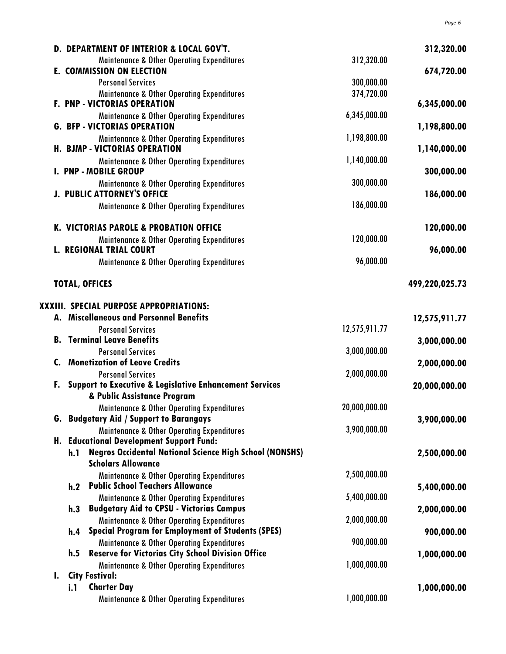|    | D. DEPARTMENT OF INTERIOR & LOCAL GOV'T.                               |               | 312,320.00     |
|----|------------------------------------------------------------------------|---------------|----------------|
|    | <b>Maintenance &amp; Other Operating Expenditures</b>                  | 312,320.00    |                |
|    | <b>E. COMMISSION ON ELECTION</b>                                       |               | 674,720.00     |
|    | <b>Personal Services</b>                                               | 300,000.00    |                |
|    | <b>Maintenance &amp; Other Operating Expenditures</b>                  | 374,720.00    |                |
|    | F. PNP - VICTORIAS OPERATION                                           |               | 6,345,000.00   |
|    | <b>Maintenance &amp; Other Operating Expenditures</b>                  | 6,345,000.00  |                |
|    | <b>G. BFP - VICTORIAS OPERATION</b>                                    |               | 1,198,800.00   |
|    | <b>Maintenance &amp; Other Operating Expenditures</b>                  | 1,198,800.00  |                |
|    | <b>H. BJMP - VICTORIAS OPERATION</b>                                   |               | 1,140,000.00   |
|    | <b>Maintenance &amp; Other Operating Expenditures</b>                  | 1,140,000.00  |                |
|    | <b>I. PNP - MOBILE GROUP</b>                                           |               | 300,000.00     |
|    | <b>Maintenance &amp; Other Operating Expenditures</b>                  | 300,000.00    |                |
|    | <b>J. PUBLIC ATTORNEY'S OFFICE</b>                                     |               | 186,000.00     |
|    | <b>Maintenance &amp; Other Operating Expenditures</b>                  | 186,000.00    |                |
|    |                                                                        |               |                |
|    | K. VICTORIAS PAROLE & PROBATION OFFICE                                 |               | 120,000.00     |
|    | <b>Maintenance &amp; Other Operating Expenditures</b>                  | 120,000.00    |                |
|    | <b>L. REGIONAL TRIAL COURT</b>                                         |               | 96,000.00      |
|    | <b>Maintenance &amp; Other Operating Expenditures</b>                  | 96,000.00     |                |
|    |                                                                        |               |                |
|    | <b>TOTAL, OFFICES</b>                                                  |               | 499,220,025.73 |
|    |                                                                        |               |                |
|    | <b>XXXIII. SPECIAL PURPOSE APPROPRIATIONS:</b>                         |               |                |
|    | A. Miscellaneous and Personnel Benefits                                |               | 12,575,911.77  |
|    | <b>Personal Services</b>                                               | 12,575,911.77 |                |
|    | <b>B. Terminal Leave Benefits</b>                                      |               | 3,000,000.00   |
|    | <b>Personal Services</b>                                               | 3,000,000.00  |                |
| C. | <b>Monetization of Leave Credits</b>                                   |               | 2,000,000.00   |
|    | <b>Personal Services</b>                                               | 2,000,000.00  |                |
| F. | <b>Support to Executive &amp; Legislative Enhancement Services</b>     |               | 20,000,000.00  |
|    | & Public Assistance Program                                            |               |                |
|    | <b>Maintenance &amp; Other Operating Expenditures</b>                  | 20,000,000.00 |                |
|    | <b>G. Budgetary Aid / Support to Barangays</b>                         |               | 3,900,000.00   |
|    | <b>Maintenance &amp; Other Operating Expenditures</b>                  | 3,900,000.00  |                |
|    | H. Educational Development Support Fund:                               |               |                |
|    | <b>Negros Occidental National Science High School (NONSHS)</b><br>h. 1 |               | 2,500,000.00   |
|    | <b>Scholars Allowance</b>                                              |               |                |
|    | <b>Maintenance &amp; Other Operating Expenditures</b>                  | 2,500,000.00  |                |
|    | <b>Public School Teachers Allowance</b><br>h.2                         |               | 5,400,000.00   |
|    | <b>Maintenance &amp; Other Operating Expenditures</b>                  | 5,400,000.00  |                |
|    | <b>Budgetary Aid to CPSU - Victorias Campus</b><br>h.3                 |               | 2,000,000.00   |
|    | <b>Maintenance &amp; Other Operating Expenditures</b>                  | 2,000,000.00  |                |
|    | <b>Special Program for Employment of Students (SPES)</b><br>h.4        |               | 900,000.00     |
|    | <b>Maintenance &amp; Other Operating Expenditures</b>                  | 900,000.00    |                |
|    | h.5<br><b>Reserve for Victorias City School Division Office</b>        |               | 1,000,000.00   |
|    | <b>Maintenance &amp; Other Operating Expenditures</b>                  | 1,000,000.00  |                |
| I. | <b>City Festival:</b>                                                  |               |                |
|    | <b>Charter Day</b><br>i.1                                              |               | 1,000,000.00   |
|    | <b>Maintenance &amp; Other Operating Expenditures</b>                  | 1,000,000.00  |                |
|    |                                                                        |               |                |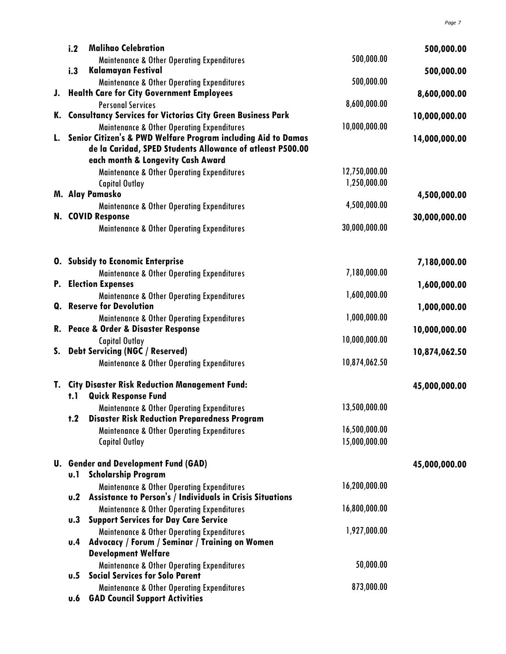| i.2        | <b>Malihao Celebration</b>                                                 |               | 500,000.00    |
|------------|----------------------------------------------------------------------------|---------------|---------------|
|            | <b>Maintenance &amp; Other Operating Expenditures</b>                      | 500,000.00    |               |
| i.3        | <b>Kalamayan Festival</b>                                                  |               | 500,000.00    |
|            | <b>Maintenance &amp; Other Operating Expenditures</b>                      | 500,000.00    |               |
|            | J. Health Care for City Government Employees                               |               | 8,600,000.00  |
|            | <b>Personal Services</b>                                                   | 8,600,000.00  |               |
|            | K. Consultancy Services for Victorias City Green Business Park             |               | 10,000,000.00 |
|            | <b>Maintenance &amp; Other Operating Expenditures</b>                      | 10,000,000.00 |               |
|            | L. Senior Citizen's & PWD Welfare Program including Aid to Damas           |               | 14,000,000.00 |
|            | de la Caridad, SPED Students Allowance of atleast P500.00                  |               |               |
|            | each month & Longevity Cash Award                                          |               |               |
|            | <b>Maintenance &amp; Other Operating Expenditures</b>                      | 12,750,000.00 |               |
|            | <b>Capital Outlay</b>                                                      | 1,250,000.00  |               |
|            | M. Alay Pamasko                                                            |               | 4,500,000.00  |
|            | <b>Maintenance &amp; Other Operating Expenditures</b><br>N. COVID Response | 4,500,000.00  |               |
|            |                                                                            | 30,000,000.00 | 30,000,000.00 |
|            | <b>Maintenance &amp; Other Operating Expenditures</b>                      |               |               |
|            |                                                                            |               |               |
|            | <b>O.</b> Subsidy to Economic Enterprise                                   |               | 7,180,000.00  |
|            | <b>Maintenance &amp; Other Operating Expenditures</b>                      | 7,180,000.00  |               |
|            | <b>P.</b> Election Expenses                                                |               | 1,600,000.00  |
|            | <b>Maintenance &amp; Other Operating Expenditures</b>                      | 1,600,000.00  |               |
|            | <b>Q.</b> Reserve for Devolution                                           |               | 1,000,000.00  |
|            | <b>Maintenance &amp; Other Operating Expenditures</b>                      | 1,000,000.00  |               |
|            | R. Peace & Order & Disaster Response                                       |               | 10,000,000.00 |
|            | <b>Capital Outlay</b>                                                      | 10,000,000.00 |               |
|            | S. Debt Servicing (NGC / Reserved)                                         | 10,874,062.50 | 10,874,062.50 |
|            | <b>Maintenance &amp; Other Operating Expenditures</b>                      |               |               |
|            | T. City Disaster Risk Reduction Management Fund:                           |               | 45,000,000.00 |
| t.1        | <b>Quick Response Fund</b>                                                 |               |               |
|            | <b>Maintenance &amp; Other Operating Expenditures</b>                      | 13,500,000.00 |               |
| t.2        | <b>Disaster Risk Reduction Preparedness Program</b>                        |               |               |
|            | <b>Maintenance &amp; Other Operating Expenditures</b>                      | 16,500,000.00 |               |
|            | <b>Capital Outlay</b>                                                      | 15,000,000.00 |               |
|            | <b>U.</b> Gender and Development Fund (GAD)                                |               | 45,000,000.00 |
| u.l        | <b>Scholarship Program</b>                                                 |               |               |
|            | <b>Maintenance &amp; Other Operating Expenditures</b>                      | 16,200,000.00 |               |
| U.2        | Assistance to Person's / Individuals in Crisis Situations                  |               |               |
|            | <b>Maintenance &amp; Other Operating Expenditures</b>                      | 16,800,000.00 |               |
| <b>u.3</b> | <b>Support Services for Day Care Service</b>                               |               |               |
|            | <b>Maintenance &amp; Other Operating Expenditures</b>                      | 1,927,000.00  |               |
| u.4        | Advocacy / Forum / Seminar / Training on Women                             |               |               |
|            | <b>Development Welfare</b>                                                 |               |               |
|            | <b>Maintenance &amp; Other Operating Expenditures</b>                      | 50,000.00     |               |
| U.5        | <b>Social Services for Solo Parent</b>                                     |               |               |
|            | <b>Maintenance &amp; Other Operating Expenditures</b>                      | 873,000.00    |               |
| u.6        | <b>GAD Council Support Activities</b>                                      |               |               |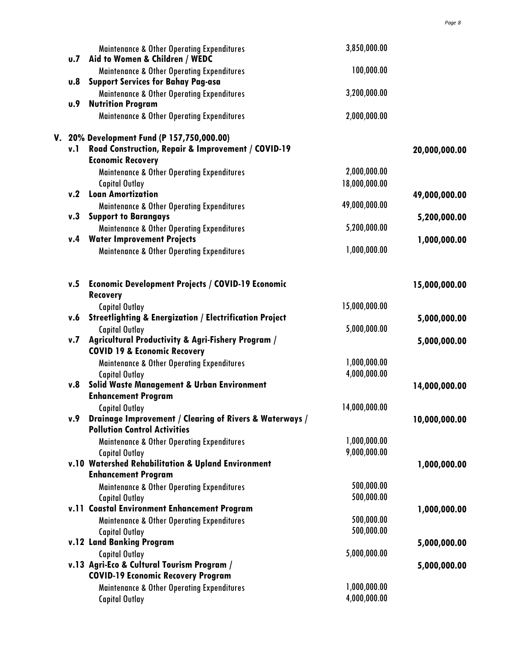|            | <b>Maintenance &amp; Other Operating Expenditures</b><br><b>u.7</b> Aid to Women & Children / WEDC | 3,850,000.00             |               |
|------------|----------------------------------------------------------------------------------------------------|--------------------------|---------------|
| 0.8        | <b>Maintenance &amp; Other Operating Expenditures</b>                                              | 100,000.00               |               |
|            | <b>Support Services for Bahay Pag-asa</b><br><b>Maintenance &amp; Other Operating Expenditures</b> | 3,200,000.00             |               |
| <b>u.9</b> | <b>Nutrition Program</b><br><b>Maintenance &amp; Other Operating Expenditures</b>                  | 2,000,000.00             |               |
|            | V. 20% Development Fund (P 157,750,000.00)                                                         |                          |               |
|            | v.1 Road Construction, Repair & Improvement / COVID-19<br><b>Economic Recovery</b>                 |                          | 20,000,000.00 |
|            | <b>Maintenance &amp; Other Operating Expenditures</b>                                              | 2,000,000.00             |               |
| v.2        | <b>Capital Outlay</b><br><b>Loan Amortization</b>                                                  | 18,000,000.00            | 49,000,000.00 |
|            | <b>Maintenance &amp; Other Operating Expenditures</b>                                              | 49,000,000.00            |               |
| v.3        | <b>Support to Barangays</b>                                                                        | 5,200,000.00             | 5,200,000.00  |
| v.4        | <b>Maintenance &amp; Other Operating Expenditures</b><br><b>Water Improvement Projects</b>         |                          | 1,000,000.00  |
|            | <b>Maintenance &amp; Other Operating Expenditures</b>                                              | 1,000,000.00             |               |
| v.5        | <b>Economic Development Projects / COVID-19 Economic</b>                                           |                          | 15,000,000.00 |
|            | <b>Recovery</b>                                                                                    |                          |               |
| v.6        | <b>Capital Outlay</b><br><b>Streetlighting &amp; Energization / Electrification Project</b>        | 15,000,000.00            | 5,000,000.00  |
|            | <b>Capital Outlay</b>                                                                              | 5,000,000.00             |               |
| v.7        | Agricultural Productivity & Agri-Fishery Program /<br><b>COVID 19 &amp; Economic Recovery</b>      |                          | 5,000,000.00  |
|            | <b>Maintenance &amp; Other Operating Expenditures</b>                                              | 1,000,000.00             |               |
| v.8        | <b>Capital Outlay</b><br><b>Solid Waste Management &amp; Urban Environment</b>                     | 4,000,000.00             | 14,000,000.00 |
|            | <b>Enhancement Program</b>                                                                         |                          |               |
|            | <b>Capital Outlay</b>                                                                              | 14,000,000.00            |               |
| v.9        | Drainage Improvement / Clearing of Rivers & Waterways /<br><b>Pollution Control Activities</b>     |                          | 10,000,000.00 |
|            | <b>Maintenance &amp; Other Operating Expenditures</b>                                              | 1,000,000.00             |               |
|            | <b>Capital Outlay</b>                                                                              | 9,000,000.00             |               |
|            | v.10 Watershed Rehabilitation & Upland Environment<br><b>Enhancement Program</b>                   |                          | 1,000,000.00  |
|            | <b>Maintenance &amp; Other Operating Expenditures</b>                                              | 500,000.00               |               |
|            | <b>Capital Outlay</b>                                                                              | 500,000.00               |               |
|            | v.11 Coastal Environment Enhancement Program                                                       |                          | 1,000,000.00  |
|            | <b>Maintenance &amp; Other Operating Expenditures</b><br><b>Capital Outlay</b>                     | 500,000.00<br>500,000.00 |               |
|            | v.12 Land Banking Program                                                                          |                          | 5,000,000.00  |
|            | <b>Capital Outlay</b>                                                                              | 5,000,000.00             |               |
|            | v.13 Agri-Eco & Cultural Tourism Program /                                                         |                          | 5,000,000.00  |
|            | <b>COVID-19 Economic Recovery Program</b><br><b>Maintenance &amp; Other Operating Expenditures</b> | 1,000,000.00             |               |
|            | <b>Capital Outlay</b>                                                                              | 4,000,000.00             |               |
|            |                                                                                                    |                          |               |

*Page 8*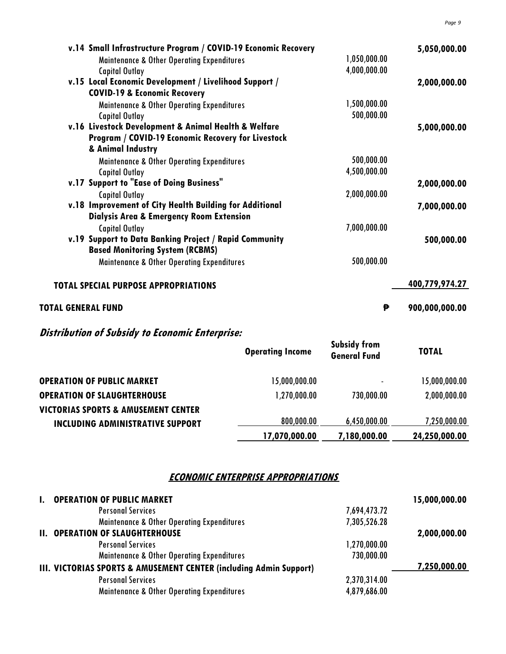|                           | v.14 Small Infrastructure Program / COVID-19 Economic Recovery |              | 5,050,000.00   |
|---------------------------|----------------------------------------------------------------|--------------|----------------|
|                           | <b>Maintenance &amp; Other Operating Expenditures</b>          | 1,050,000.00 |                |
|                           | <b>Capital Outlay</b>                                          | 4,000,000.00 |                |
|                           | v.15 Local Economic Development / Livelihood Support /         |              | 2,000,000.00   |
|                           | <b>COVID-19 &amp; Economic Recovery</b>                        |              |                |
|                           | <b>Maintenance &amp; Other Operating Expenditures</b>          | 1,500,000.00 |                |
|                           | <b>Capital Outlay</b>                                          | 500,000.00   |                |
|                           | v.16 Livestock Development & Animal Health & Welfare           |              | 5,000,000.00   |
|                           | <b>Program / COVID-19 Economic Recovery for Livestock</b>      |              |                |
|                           | & Animal Industry                                              |              |                |
|                           | <b>Maintenance &amp; Other Operating Expenditures</b>          | 500,000.00   |                |
|                           | <b>Capital Outlay</b>                                          | 4,500,000.00 |                |
|                           | v.17 Support to "Ease of Doing Business"                       |              | 2,000,000.00   |
|                           | <b>Capital Outlay</b>                                          | 2,000,000.00 |                |
|                           | v.18 Improvement of City Health Building for Additional        |              | 7,000,000.00   |
|                           | <b>Dialysis Area &amp; Emergency Room Extension</b>            |              |                |
|                           | <b>Capital Outlay</b>                                          | 7,000,000.00 |                |
|                           | v.19 Support to Data Banking Project / Rapid Community         |              | 500,000.00     |
|                           | <b>Based Monitoring System (RCBMS)</b>                         |              |                |
|                           | <b>Maintenance &amp; Other Operating Expenditures</b>          | 500,000.00   |                |
|                           | <b>TOTAL SPECIAL PURPOSE APPROPRIATIONS</b>                    |              | 400,779,974.27 |
| <b>TOTAL GENERAL FUND</b> |                                                                | ₱            | 900,000,000.00 |

# **Distribution of Subsidy to Economic Enterprise:**

|                                                | <b>Operating Income</b> | <b>Subsidy from</b><br><b>General Fund</b> | <b>TOTAL</b>  |
|------------------------------------------------|-------------------------|--------------------------------------------|---------------|
| <b>OPERATION OF PUBLIC MARKET</b>              | 15,000,000.00           |                                            | 15,000,000.00 |
| <b>OPERATION OF SLAUGHTERHOUSE</b>             | .000.000 1,270          | 730,000.00                                 | 2,000,000.00  |
| <b>VICTORIAS SPORTS &amp; AMUSEMENT CENTER</b> |                         |                                            |               |
| <b>INCLUDING ADMINISTRATIVE SUPPORT</b>        | 800,000.00              | 6,450,000.00                               | 7,250,000.00  |
|                                                | 17,070,000.00           | 7,180,000.00                               | 24,250,000.00 |

#### **ECONOMIC ENTERPRISE APPROPRIATIONS**

| <b>OPERATION OF PUBLIC MARKET</b>                                  |              | 15,000,000.00 |
|--------------------------------------------------------------------|--------------|---------------|
| <b>Personal Services</b>                                           | 7,694,473.72 |               |
| <b>Maintenance &amp; Other Operating Expenditures</b>              | 7,305,526.28 |               |
| <b>II. OPERATION OF SLAUGHTERHOUSE</b>                             |              | 2,000,000.00  |
| <b>Personal Services</b>                                           | 1,270,000.00 |               |
| <b>Maintenance &amp; Other Operating Expenditures</b>              | 730,000.00   |               |
| III. VICTORIAS SPORTS & AMUSEMENT CENTER (including Admin Support) |              | 7,250,000.00  |
| <b>Personal Services</b>                                           | 2,370,314.00 |               |
| <b>Maintenance &amp; Other Operating Expenditures</b>              | 4,879,686.00 |               |
|                                                                    |              |               |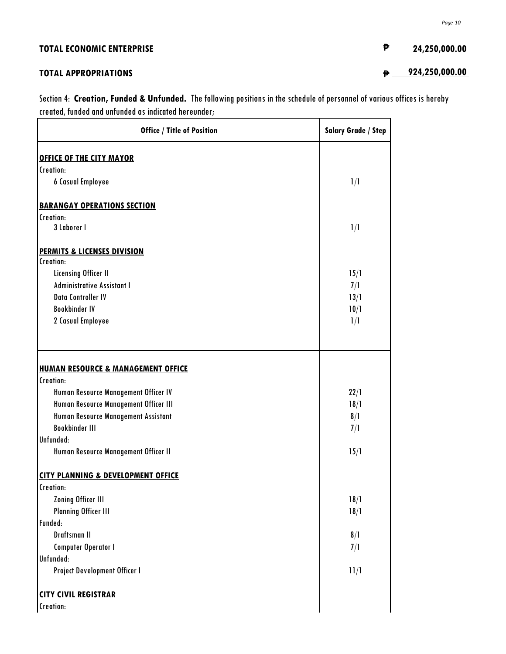| <b>TOTAL ECONOMIC ENTERPRISE</b> | ₿ | 24,250,000.00  |
|----------------------------------|---|----------------|
| <b>TOTAL APPROPRIATIONS</b>      | ₿ | 924,250,000.00 |

*Page 10*

Section 4: **Creation, Funded & Unfunded.** The following positions in the schedule of personnel of various offices is hereby created, funded and unfunded as indicated hereunder;

| <b>Office / Title of Position</b>                          | <b>Salary Grade / Step</b> |
|------------------------------------------------------------|----------------------------|
| <b>OFFICE OF THE CITY MAYOR</b>                            |                            |
| Creation:                                                  |                            |
| <b>6 Casual Employee</b>                                   | 1/1                        |
| <b>BARANGAY OPERATIONS SECTION</b>                         |                            |
| Creation:                                                  |                            |
| 3 Laborer I                                                | 1/1                        |
| <b>PERMITS &amp; LICENSES DIVISION</b>                     |                            |
| Creation:                                                  |                            |
| <b>Licensing Officer II</b>                                | 15/1                       |
| <b>Administrative Assistant I</b>                          | 7/1                        |
| Data Controller IV                                         | 13/1                       |
| <b>Bookbinder IV</b>                                       | 10/1                       |
| 2 Casual Employee                                          | 1/1                        |
| <b>HUMAN RESOURCE &amp; MANAGEMENT OFFICE</b><br>Creation: |                            |
| Human Resource Management Officer IV                       | 22/1                       |
| Human Resource Management Officer III                      | 18/1                       |
| Human Resource Management Assistant                        | 8/1                        |
| <b>Bookbinder III</b>                                      | 7/1                        |
| Unfunded:                                                  |                            |
| Human Resource Management Officer II                       | 15/1                       |
| <b>CITY PLANNING &amp; DEVELOPMENT OFFICE</b>              |                            |
| Creation:                                                  |                            |
| <b>Zoning Officer III</b>                                  | 18/1                       |
| <b>Planning Officer III</b>                                | 18/1                       |
| Funded:                                                    |                            |
| Draftsman II                                               | 8/1                        |
| <b>Computer Operator I</b>                                 | 7/1                        |
| Unfunded:                                                  |                            |
| Project Development Officer I                              | 11/1                       |
| <b>CITY CIVIL REGISTRAR</b>                                |                            |
| Creation:                                                  |                            |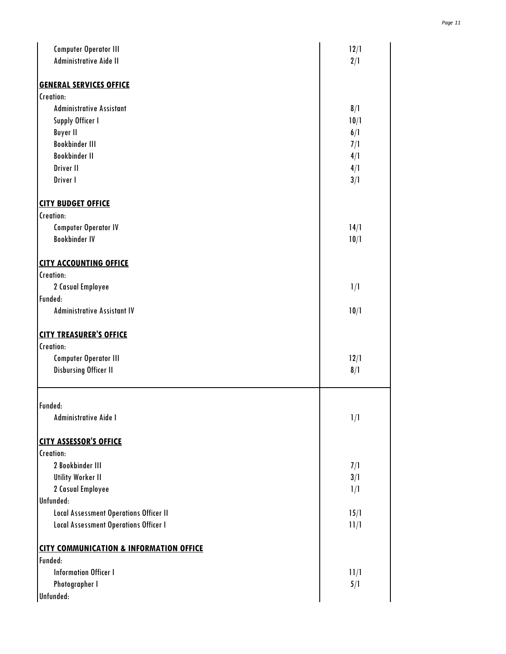| <b>Computer Operator III</b>                       | 12/1 |
|----------------------------------------------------|------|
| Administrative Aide II                             | 2/1  |
|                                                    |      |
| <b>GENERAL SERVICES OFFICE</b>                     |      |
| Creation:                                          |      |
| <b>Administrative Assistant</b>                    | 8/1  |
| Supply Officer I                                   | 10/1 |
| <b>Buyer II</b>                                    | 6/1  |
| <b>Bookbinder III</b>                              | 7/1  |
| <b>Bookbinder II</b>                               | 4/1  |
| Driver II                                          | 4/1  |
| Driver I                                           | 3/1  |
| <b>CITY BUDGET OFFICE</b>                          |      |
| Creation:                                          |      |
| <b>Computer Operator IV</b>                        | 14/1 |
| <b>Bookbinder IV</b>                               | 10/1 |
|                                                    |      |
| <b>CITY ACCOUNTING OFFICE</b>                      |      |
| Creation:                                          |      |
| 2 Casual Employee                                  | 1/1  |
| Funded:                                            |      |
| <b>Administrative Assistant IV</b>                 | 10/1 |
|                                                    |      |
| <b>CITY TREASURER'S OFFICE</b>                     |      |
| Creation:                                          |      |
| <b>Computer Operator III</b>                       | 12/1 |
| <b>Disbursing Officer II</b>                       | 8/1  |
|                                                    |      |
| Funded:                                            |      |
| Administrative Aide I                              | 1/1  |
|                                                    |      |
| <b>CITY ASSESSOR'S OFFICE</b>                      |      |
| Creation:                                          |      |
| 2 Bookbinder III                                   | 7/1  |
| <b>Utility Worker II</b>                           | 3/1  |
| 2 Casual Employee                                  | 1/1  |
| Unfunded:                                          |      |
| <b>Local Assessment Operations Officer II</b>      | 15/1 |
| <b>Local Assessment Operations Officer I</b>       | 11/1 |
| <b>CITY COMMUNICATION &amp; INFORMATION OFFICE</b> |      |
| Funded:                                            |      |
| <b>Information Officer I</b>                       | 11/1 |
| Photographer I                                     | 5/1  |
| Unfunded:                                          |      |
|                                                    |      |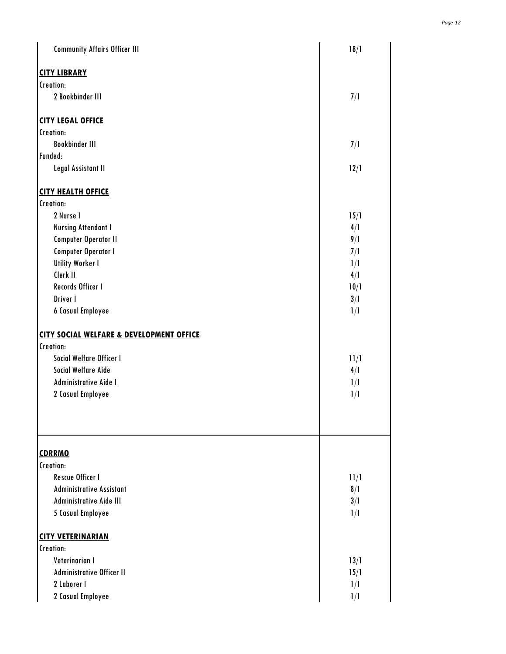| <b>Community Affairs Officer III</b>                | 18/1 |  |
|-----------------------------------------------------|------|--|
| <b>CITY LIBRARY</b>                                 |      |  |
| Creation:                                           |      |  |
| 2 Bookbinder III                                    | 7/1  |  |
| <b>CITY LEGAL OFFICE</b>                            |      |  |
| Creation:                                           |      |  |
| <b>Bookbinder III</b>                               | 7/1  |  |
| Funded:                                             |      |  |
| Legal Assistant II                                  | 12/1 |  |
| <b>CITY HEALTH OFFICE</b>                           |      |  |
| Creation:                                           |      |  |
| 2 Nurse I                                           | 15/1 |  |
| <b>Nursing Attendant I</b>                          | 4/1  |  |
| <b>Computer Operator II</b>                         | 9/1  |  |
| <b>Computer Operator I</b>                          | 7/1  |  |
| <b>Utility Worker I</b>                             | 1/1  |  |
| Clerk II                                            | 4/1  |  |
| Records Officer I                                   | 10/1 |  |
| Driver I                                            | 3/1  |  |
| <b>6 Casual Employee</b>                            | 1/1  |  |
| <b>CITY SOCIAL WELFARE &amp; DEVELOPMENT OFFICE</b> |      |  |
| Creation:                                           |      |  |
| Social Welfare Officer I                            | 11/1 |  |
| Social Welfare Aide                                 | 4/1  |  |
| Administrative Aide I                               | 1/1  |  |
| 2 Casual Employee                                   | 1/1  |  |
| <b>CDRRMO</b>                                       |      |  |
| Creation:                                           |      |  |
| <b>Rescue Officer I</b>                             | 11/1 |  |
| <b>Administrative Assistant</b>                     | 8/1  |  |
| Administrative Aide III                             | 3/1  |  |
| <b>5 Casual Employee</b>                            | 1/1  |  |
| <b>CITY VETERINARIAN</b>                            |      |  |
| Creation:                                           |      |  |
| Veterinarian I                                      | 13/1 |  |
| Administrative Officer II                           | 15/1 |  |
| 2 Laborer I                                         | 1/1  |  |
| 2 Casual Employee                                   | 1/1  |  |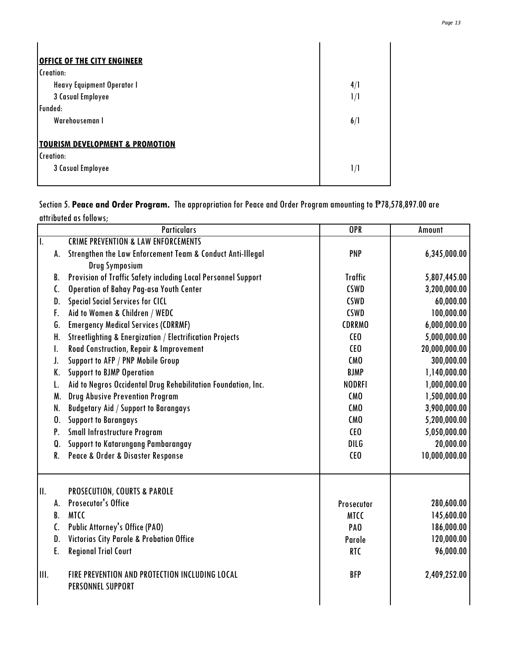| <b>OFFICE OF THE CITY ENGINEER</b>         |     |  |
|--------------------------------------------|-----|--|
| Creation:                                  |     |  |
| Heavy Equipment Operator I                 | 4/1 |  |
| 3 Casual Employee                          | 1/1 |  |
| Funded:                                    |     |  |
| Warehouseman I                             | 6/1 |  |
|                                            |     |  |
| <b>TOURISM DEVELOPMENT &amp; PROMOTION</b> |     |  |
| Creation:                                  |     |  |
| 3 Casual Employee                          | 1/1 |  |
|                                            |     |  |

Section 5. **Peace and Order Program.** The appropriation for Peace and Order Program amounting to ₱78,578,897.00 are attributed as follows;

|                 | <b>Particulars</b>                                                           | OPR               | Amount        |
|-----------------|------------------------------------------------------------------------------|-------------------|---------------|
| Π.              | <b>CRIME PREVENTION &amp; LAW ENFORCEMENTS</b>                               |                   |               |
| A.              | Strengthen the Law Enforcement Team & Conduct Anti-Illegal<br>Drug Symposium | <b>PNP</b>        | 6,345,000.00  |
| B.              | Provision of Traffic Safety including Local Personnel Support                | <b>Traffic</b>    | 5,807,445.00  |
| C.              | Operation of Bahay Pag-asa Youth Center                                      | <b>CSWD</b>       | 3,200,000.00  |
| D.              | <b>Special Social Services for CICL</b>                                      | <b>CSWD</b>       | 60,000.00     |
| F.              | Aid to Women & Children / WEDC                                               | <b>CSWD</b>       | 100,000.00    |
| G.              | <b>Emergency Medical Services (CDRRMF)</b>                                   | <b>CDRRMO</b>     | 6,000,000.00  |
| H.              | <b>Streetlighting &amp; Energization / Electrification Projects</b>          | CE <sub>0</sub>   | 5,000,000.00  |
| I.              | Road Construction, Repair & Improvement                                      | CE <sub>0</sub>   | 20,000,000.00 |
| J.              | Support to AFP / PNP Mobile Group                                            | CM <sub>0</sub>   | 300,000.00    |
| K.              | <b>Support to BJMP Operation</b>                                             | <b>BJMP</b>       | 1,140,000.00  |
| L.              | Aid to Negros Occidental Drug Rehabilitation Foundation, Inc.                | <b>NODRFI</b>     | 1,000,000.00  |
| M.              | <b>Drug Abusive Prevention Program</b>                                       | CM <sub>0</sub>   | 1,500,000.00  |
| N.              | <b>Budgetary Aid / Support to Barangays</b>                                  | CM <sub>0</sub>   | 3,900,000.00  |
| 0.              | <b>Support to Barangays</b>                                                  | CM <sub>0</sub>   | 5,200,000.00  |
| P.              | Small Infrastructure Program                                                 | CE <sub>0</sub>   | 5,050,000.00  |
| Q.              | Support to Katarungang Pambarangay                                           | DILG              | 20,000.00     |
| R.              | Peace & Order & Disaster Response                                            | CEO               | 10,000,000.00 |
| $\mathbf{II}$ . | PROSECUTION, COURTS & PAROLE                                                 |                   |               |
| А.              | <b>Prosecutor's Office</b>                                                   | <b>Prosecutor</b> | 280,600.00    |
| B.              | <b>MTCC</b>                                                                  | <b>MTCC</b>       | 145,600.00    |
| C.              | <b>Public Attorney's Office (PAO)</b>                                        | PA <sub>0</sub>   | 186,000.00    |
| D.              | <b>Victorias City Parole &amp; Probation Office</b>                          | Parole            | 120,000.00    |
| E.              | <b>Regional Trial Court</b>                                                  | RTC               | 96,000.00     |
| III.            | FIRE PREVENTION AND PROTECTION INCLUDING LOCAL<br>PERSONNEL SUPPORT          | <b>BFP</b>        | 2,409,252.00  |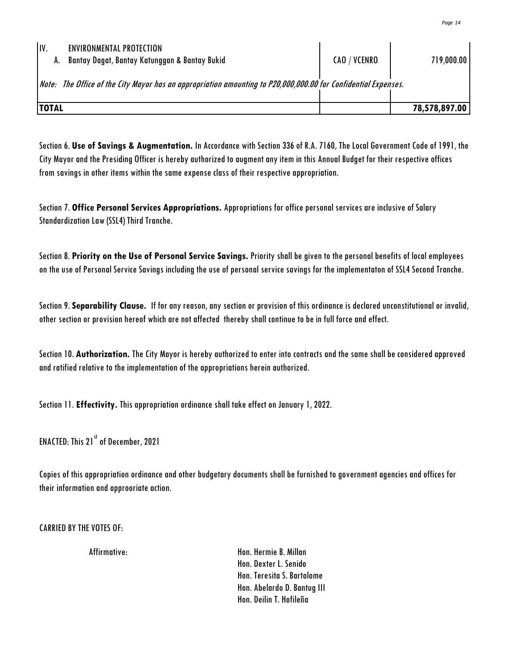| IV.<br><b>ENVIRONMENTAL PROTECTION</b><br>Bantay Dagat, Bantay Katunggan & Bantay Bukid<br>Α.                  | CAO / VCENRO | 719,000.00    |  |
|----------------------------------------------------------------------------------------------------------------|--------------|---------------|--|
| Note: The Office of the City Mayor has an appropriation amounting to P20,000,000.00 for Confidential Expenses. |              |               |  |
| <b>TOTAL</b>                                                                                                   |              | 78,578,897.00 |  |

Section 6. **Use of Savings & Augmentation.** In Accordance with Section 336 of R.A. 7160, The Local Government Code of 1991, the City Mayor and the Presiding Officer is hereby authorized to augment any item in this Annual Budget for their respective offices from savings in other items within the same expense class of their respective appropriation.

Section 7. **Office Personal Services Appropriations.** Appropriations for office personal services are inclusive of Salary Standardization Law (SSL4) Third Tranche.

Section 8. **Priority on the Use of Personal Service Savings.** Priority shall be given to the personal benefits of local employees on the use of Personal Service Savings including the use of personal service savings for the implementaton of SSL4 Second Tranche.

Section 9.**Separability Clause.** If for any reason, any section or provision of this ordinance is declared unconstitutional or invalid,

other section or provision hereof which are not affected thereby shall continue to be in full force and effect.<br>Section 10. Authorization. The City Mayor is hereby authorized to enter into contracts and the same shall be c and ratified relative to the implementation of the appropriations herein authorized.

Section 11. **Effectivity.** This appropriation ordinance shall take effect on January 1,2022.

ENACTED: This 21<sup>st</sup> of December, 2021

Copies of this appropriation ordinance and other budgetary documents shall be furnished to government agencies and offices for their information and approoriate action.

CARRIED BYTHE VOTES OF:

Affirmative: Hon. Hermie B. Millan Hon. Dexter L. Senido Hon. Teresita S. Bartolome Hon. Abelardo D. Bantug III Hon. Deilin T. Hofileña